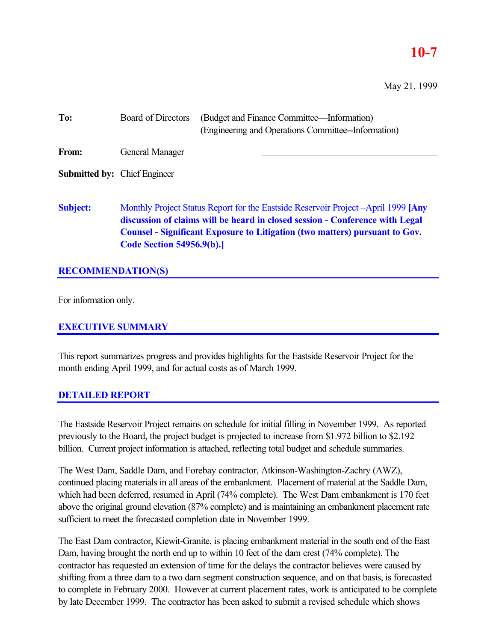### **10-7**

May 21, 1999

| To:                                 | <b>Board of Directors</b>        | (Budget and Finance Committee—Information)<br>(Engineering and Operations Committee-Information)                                                                                                                                                        |
|-------------------------------------|----------------------------------|---------------------------------------------------------------------------------------------------------------------------------------------------------------------------------------------------------------------------------------------------------|
| From:                               | <b>General Manager</b>           |                                                                                                                                                                                                                                                         |
| <b>Submitted by:</b> Chief Engineer |                                  |                                                                                                                                                                                                                                                         |
| <b>Subject:</b>                     | <b>Code Section 54956.9(b).]</b> | Monthly Project Status Report for the Eastside Reservoir Project -April 1999 [Any<br>discussion of claims will be heard in closed session - Conference with Legal<br><b>Counsel - Significant Exposure to Litigation (two matters) pursuant to Gov.</b> |

### **RECOMMENDATION(S)**

For information only.

### **EXECUTIVE SUMMARY**

This report summarizes progress and provides highlights for the Eastside Reservoir Project for the month ending April 1999, and for actual costs as of March 1999.

### **DETAILED REPORT**

The Eastside Reservoir Project remains on schedule for initial filling in November 1999. As reported previously to the Board, the project budget is projected to increase from \$1.972 billion to \$2.192 billion. Current project information is attached, reflecting total budget and schedule summaries.

The West Dam, Saddle Dam, and Forebay contractor, Atkinson-Washington-Zachry (AWZ), continued placing materials in all areas of the embankment. Placement of material at the Saddle Dam, which had been deferred, resumed in April (74% complete). The West Dam embankment is 170 feet above the original ground elevation (87% complete) and is maintaining an embankment placement rate sufficient to meet the forecasted completion date in November 1999.

The East Dam contractor, Kiewit-Granite, is placing embankment material in the south end of the East Dam, having brought the north end up to within 10 feet of the dam crest (74% complete). The contractor has requested an extension of time for the delays the contractor believes were caused by shifting from a three dam to a two dam segment construction sequence, and on that basis, is forecasted to complete in February 2000. However at current placement rates, work is anticipated to be complete by late December 1999. The contractor has been asked to submit a revised schedule which shows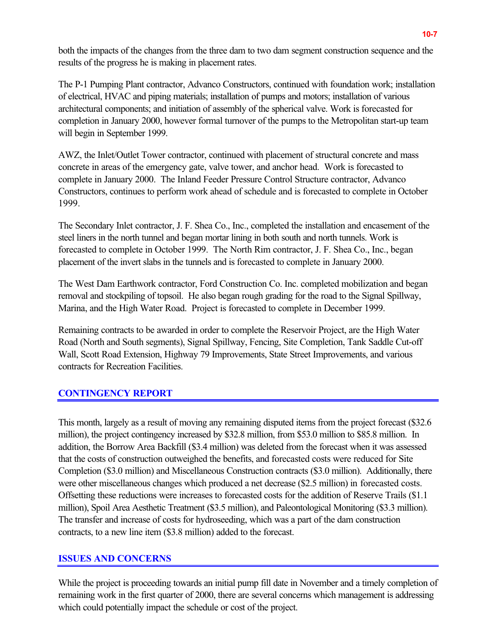both the impacts of the changes from the three dam to two dam segment construction sequence and the results of the progress he is making in placement rates.

The P-1 Pumping Plant contractor, Advanco Constructors, continued with foundation work; installation of electrical, HVAC and piping materials; installation of pumps and motors; installation of various architectural components; and initiation of assembly of the spherical valve. Work is forecasted for completion in January 2000, however formal turnover of the pumps to the Metropolitan start-up team will begin in September 1999.

AWZ, the Inlet/Outlet Tower contractor, continued with placement of structural concrete and mass concrete in areas of the emergency gate, valve tower, and anchor head. Work is forecasted to complete in January 2000. The Inland Feeder Pressure Control Structure contractor, Advanco Constructors, continues to perform work ahead of schedule and is forecasted to complete in October 1999.

The Secondary Inlet contractor, J. F. Shea Co., Inc., completed the installation and encasement of the steel liners in the north tunnel and began mortar lining in both south and north tunnels. Work is forecasted to complete in October 1999. The North Rim contractor, J. F. Shea Co., Inc., began placement of the invert slabs in the tunnels and is forecasted to complete in January 2000.

The West Dam Earthwork contractor, Ford Construction Co. Inc. completed mobilization and began removal and stockpiling of topsoil. He also began rough grading for the road to the Signal Spillway, Marina, and the High Water Road. Project is forecasted to complete in December 1999.

Remaining contracts to be awarded in order to complete the Reservoir Project, are the High Water Road (North and South segments), Signal Spillway, Fencing, Site Completion, Tank Saddle Cut-off Wall, Scott Road Extension, Highway 79 Improvements, State Street Improvements, and various contracts for Recreation Facilities.

### **CONTINGENCY REPORT**

This month, largely as a result of moving any remaining disputed items from the project forecast (\$32.6 million), the project contingency increased by \$32.8 million, from \$53.0 million to \$85.8 million. In addition, the Borrow Area Backfill (\$3.4 million) was deleted from the forecast when it was assessed that the costs of construction outweighed the benefits, and forecasted costs were reduced for Site Completion (\$3.0 million) and Miscellaneous Construction contracts (\$3.0 million). Additionally, there were other miscellaneous changes which produced a net decrease (\$2.5 million) in forecasted costs. Offsetting these reductions were increases to forecasted costs for the addition of Reserve Trails (\$1.1 million), Spoil Area Aesthetic Treatment (\$3.5 million), and Paleontological Monitoring (\$3.3 million). The transfer and increase of costs for hydroseeding, which was a part of the dam construction contracts, to a new line item (\$3.8 million) added to the forecast.

### **ISSUES AND CONCERNS**

While the project is proceeding towards an initial pump fill date in November and a timely completion of remaining work in the first quarter of 2000, there are several concerns which management is addressing which could potentially impact the schedule or cost of the project.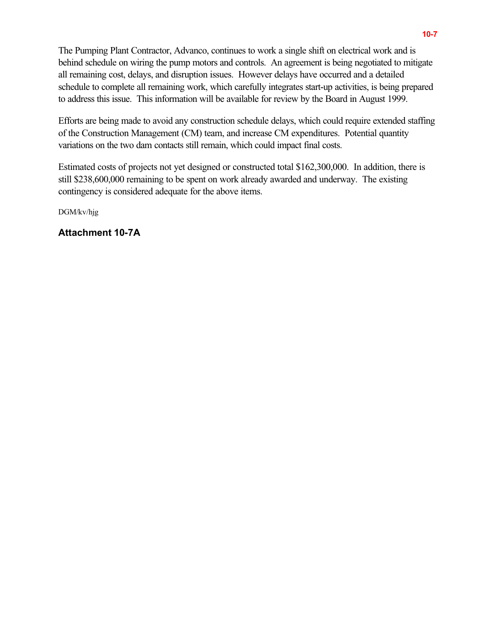The Pumping Plant Contractor, Advanco, continues to work a single shift on electrical work and is behind schedule on wiring the pump motors and controls. An agreement is being negotiated to mitigate all remaining cost, delays, and disruption issues. However delays have occurred and a detailed schedule to complete all remaining work, which carefully integrates start-up activities, is being prepared to address this issue. This information will be available for review by the Board in August 1999.

Efforts are being made to avoid any construction schedule delays, which could require extended staffing of the Construction Management (CM) team, and increase CM expenditures. Potential quantity variations on the two dam contacts still remain, which could impact final costs.

Estimated costs of projects not yet designed or constructed total \$162,300,000. In addition, there is still \$238,600,000 remaining to be spent on work already awarded and underway. The existing contingency is considered adequate for the above items.

DGM/kv/hjg

**Attachment 10-7A**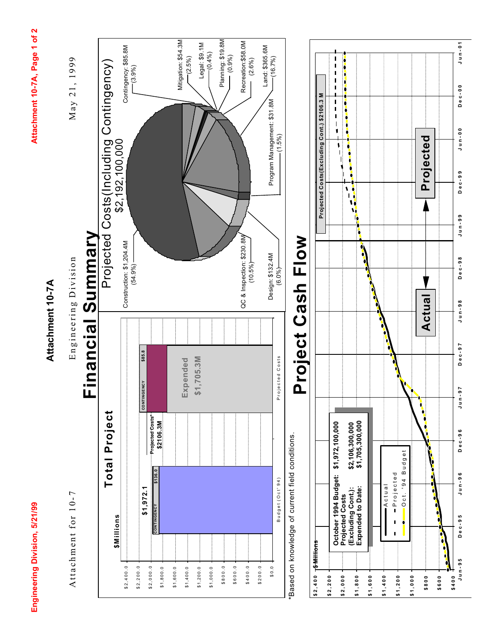Engineering Division, 5/21/99

Attachment 10-7A, Page 1 of 2 **Engineering Division, 5/21/99 Attachment 10-7A, Page 1 of 2**

### Attachment 10-7A **Attachment 10-7A**

Attachment for 10-7

Attachment for 10-7 Engineering Division May 21, 1999 Engineering Division

May 21, 1999

### **Financial Summary** Summary Financial



Based on knowledge of current field conditions. \*Based on knowledge of current field conditions.

# Project Cash Flow **Project Cash Flow**